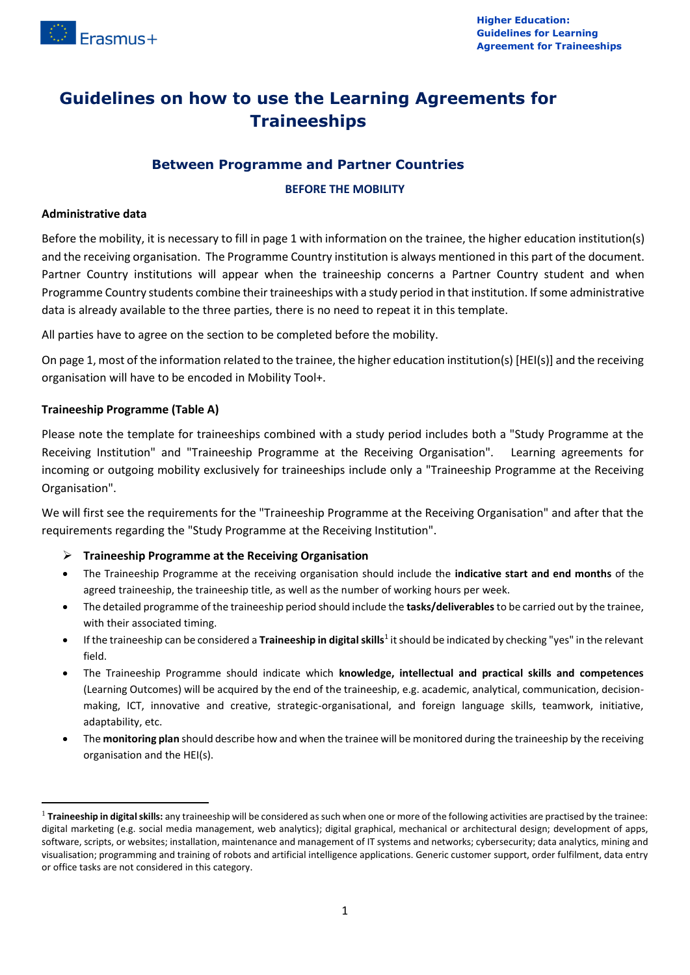

# **Guidelines on how to use the Learning Agreements for Traineeships**

# **Between Programme and Partner Countries**

#### **BEFORE THE MOBILITY**

#### **Administrative data**

Before the mobility, it is necessary to fill in page 1 with information on the trainee, the higher education institution(s) and the receiving organisation. The Programme Country institution is always mentioned in this part of the document. Partner Country institutions will appear when the traineeship concerns a Partner Country student and when Programme Country students combine their traineeships with a study period in that institution. If some administrative data is already available to the three parties, there is no need to repeat it in this template.

All parties have to agree on the section to be completed before the mobility.

On page 1, most of the information related to the trainee, the higher education institution(s) [HEI(s)] and the receiving organisation will have to be encoded in Mobility Tool+.

### **Traineeship Programme (Table A)**

1

Please note the template for traineeships combined with a study period includes both a "Study Programme at the Receiving Institution" and "Traineeship Programme at the Receiving Organisation". Learning agreements for incoming or outgoing mobility exclusively for traineeships include only a "Traineeship Programme at the Receiving Organisation".

We will first see the requirements for the "Traineeship Programme at the Receiving Organisation" and after that the requirements regarding the "Study Programme at the Receiving Institution".

- **Traineeship Programme at the Receiving Organisation**
- The Traineeship Programme at the receiving organisation should include the **indicative start and end months** of the agreed traineeship, the traineeship title, as well as the number of working hours per week.
- The detailed programme of the traineeship period should include the **tasks/deliverables**to be carried out by the trainee, with their associated timing.
- **•** If the traineeship can be considered a Traineeship in digital skills<sup>1</sup> it should be indicated by checking "yes" in the relevant field.
- The Traineeship Programme should indicate which **knowledge, intellectual and practical skills and competences** (Learning Outcomes) will be acquired by the end of the traineeship, e.g. academic, analytical, communication, decisionmaking, ICT, innovative and creative, strategic-organisational, and foreign language skills, teamwork, initiative, adaptability, etc.
- The **monitoring plan** should describe how and when the trainee will be monitored during the traineeship by the receiving organisation and the HEI(s).

<sup>&</sup>lt;sup>1</sup> Traineeship in digital skills: any traineeship will be considered as such when one or more of the following activities are practised by the trainee: digital marketing (e.g. social media management, web analytics); digital graphical, mechanical or architectural design; development of apps, software, scripts, or websites; installation, maintenance and management of IT systems and networks; cybersecurity; data analytics, mining and visualisation; programming and training of robots and artificial intelligence applications. Generic customer support, order fulfilment, data entry or office tasks are not considered in this category.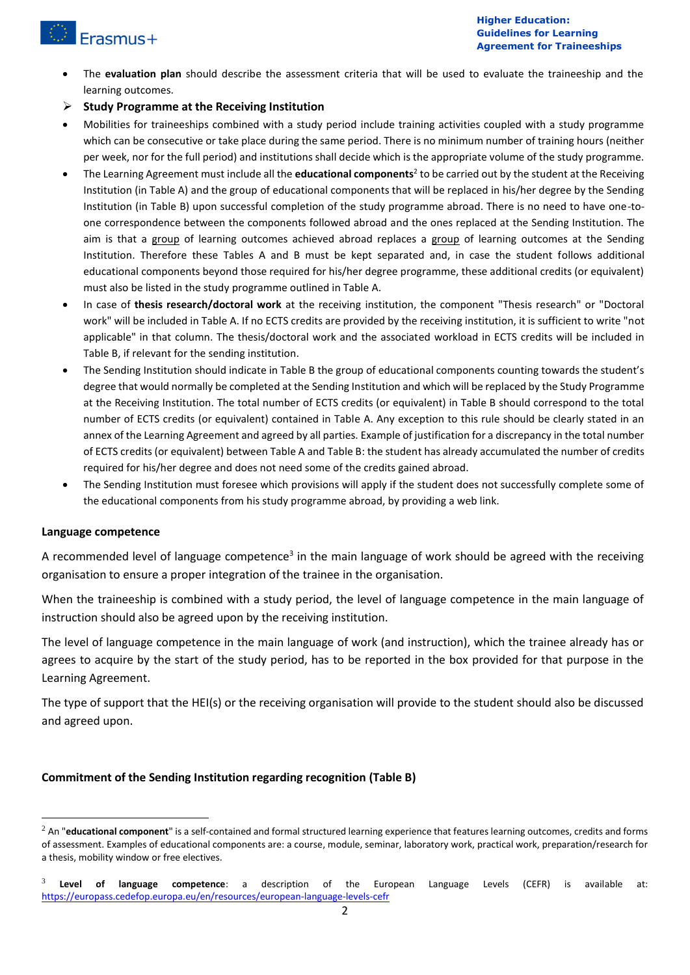

- The **evaluation plan** should describe the assessment criteria that will be used to evaluate the traineeship and the learning outcomes.
- **Study Programme at the Receiving Institution**
- Mobilities for traineeships combined with a study period include training activities coupled with a study programme which can be consecutive or take place during the same period. There is no minimum number of training hours (neither per week, nor for the full period) and institutions shall decide which is the appropriate volume of the study programme.
- The Learning Agreement must include all the **educational components**<sup>2</sup> to be carried out by the student at the Receiving Institution (in Table A) and the group of educational components that will be replaced in his/her degree by the Sending Institution (in Table B) upon successful completion of the study programme abroad. There is no need to have one-toone correspondence between the components followed abroad and the ones replaced at the Sending Institution. The aim is that a group of learning outcomes achieved abroad replaces a group of learning outcomes at the Sending Institution. Therefore these Tables A and B must be kept separated and, in case the student follows additional educational components beyond those required for his/her degree programme, these additional credits (or equivalent) must also be listed in the study programme outlined in Table A.
- In case of **thesis research/doctoral work** at the receiving institution, the component "Thesis research" or "Doctoral work" will be included in Table A. If no ECTS credits are provided by the receiving institution, it is sufficient to write "not applicable" in that column. The thesis/doctoral work and the associated workload in ECTS credits will be included in Table B, if relevant for the sending institution.
- The Sending Institution should indicate in Table B the group of educational components counting towards the student's degree that would normally be completed at the Sending Institution and which will be replaced by the Study Programme at the Receiving Institution. The total number of ECTS credits (or equivalent) in Table B should correspond to the total number of ECTS credits (or equivalent) contained in Table A. Any exception to this rule should be clearly stated in an annex of the Learning Agreement and agreed by all parties. Example of justification for a discrepancy in the total number of ECTS credits (or equivalent) between Table A and Table B: the student has already accumulated the number of credits required for his/her degree and does not need some of the credits gained abroad.
- The Sending Institution must foresee which provisions will apply if the student does not successfully complete some of the educational components from his study programme abroad, by providing a web link.

### **Language competence**

 $\overline{\phantom{a}}$ 

A recommended level of language competence<sup>3</sup> in the main language of work should be agreed with the receiving organisation to ensure a proper integration of the trainee in the organisation.

When the traineeship is combined with a study period, the level of language competence in the main language of instruction should also be agreed upon by the receiving institution.

The level of language competence in the main language of work (and instruction), which the trainee already has or agrees to acquire by the start of the study period, has to be reported in the box provided for that purpose in the Learning Agreement.

The type of support that the HEI(s) or the receiving organisation will provide to the student should also be discussed and agreed upon.

### **Commitment of the Sending Institution regarding recognition (Table B)**

<sup>&</sup>lt;sup>2</sup> An "educational component" is a self-contained and formal structured learning experience that features learning outcomes, credits and forms of assessment. Examples of educational components are: a course, module, seminar, laboratory work, practical work, preparation/research for a thesis, mobility window or free electives.

<sup>3</sup> **Level of language competence**: a description of the European Language Levels (CEFR) is available at: <https://europass.cedefop.europa.eu/en/resources/european-language-levels-cefr>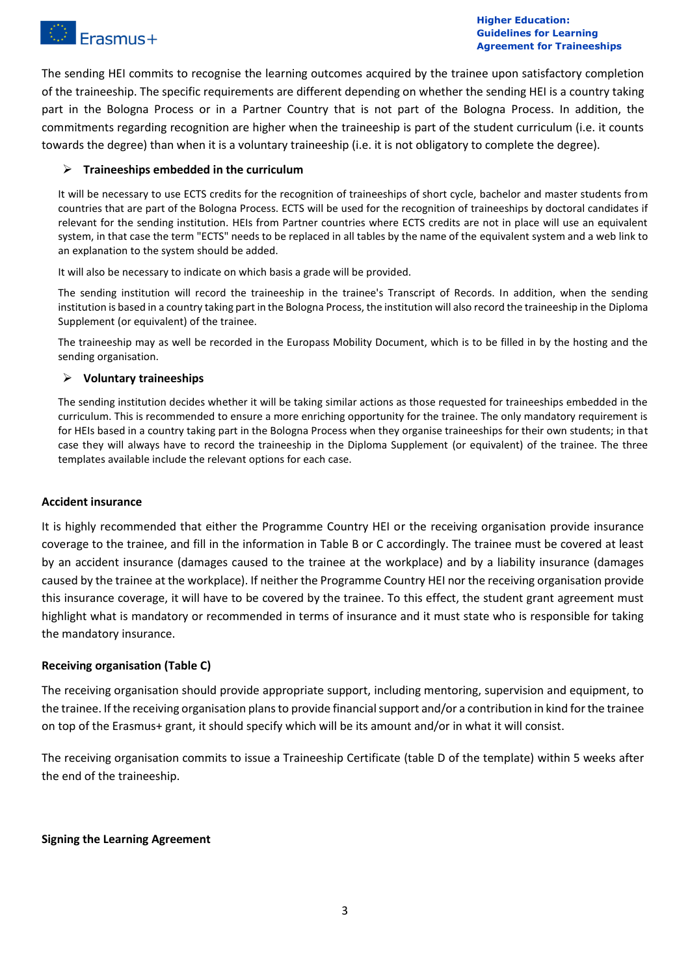

The sending HEI commits to recognise the learning outcomes acquired by the trainee upon satisfactory completion of the traineeship. The specific requirements are different depending on whether the sending HEI is a country taking part in the Bologna Process or in a Partner Country that is not part of the Bologna Process. In addition, the commitments regarding recognition are higher when the traineeship is part of the student curriculum (i.e. it counts towards the degree) than when it is a voluntary traineeship (i.e. it is not obligatory to complete the degree).

## **Traineeships embedded in the curriculum**

It will be necessary to use ECTS credits for the recognition of traineeships of short cycle, bachelor and master students from countries that are part of the Bologna Process. ECTS will be used for the recognition of traineeships by doctoral candidates if relevant for the sending institution. HEIs from Partner countries where ECTS credits are not in place will use an equivalent system, in that case the term "ECTS" needs to be replaced in all tables by the name of the equivalent system and a web link to an explanation to the system should be added.

It will also be necessary to indicate on which basis a grade will be provided.

The sending institution will record the traineeship in the trainee's Transcript of Records. In addition, when the sending institution is based in a country taking part in the Bologna Process, the institution will also record the traineeship in the Diploma Supplement (or equivalent) of the trainee.

The traineeship may as well be recorded in the Europass Mobility Document, which is to be filled in by the hosting and the sending organisation.

### **Voluntary traineeships**

The sending institution decides whether it will be taking similar actions as those requested for traineeships embedded in the curriculum. This is recommended to ensure a more enriching opportunity for the trainee. The only mandatory requirement is for HEIs based in a country taking part in the Bologna Process when they organise traineeships for their own students; in that case they will always have to record the traineeship in the Diploma Supplement (or equivalent) of the trainee. The three templates available include the relevant options for each case.

## **Accident insurance**

It is highly recommended that either the Programme Country HEI or the receiving organisation provide insurance coverage to the trainee, and fill in the information in Table B or C accordingly. The trainee must be covered at least by an accident insurance (damages caused to the trainee at the workplace) and by a liability insurance (damages caused by the trainee at the workplace). If neither the Programme Country HEI nor the receiving organisation provide this insurance coverage, it will have to be covered by the trainee. To this effect, the student grant agreement must highlight what is mandatory or recommended in terms of insurance and it must state who is responsible for taking the mandatory insurance.

### **Receiving organisation (Table C)**

The receiving organisation should provide appropriate support, including mentoring, supervision and equipment, to the trainee. If the receiving organisation plans to provide financial support and/or a contribution in kind for the trainee on top of the Erasmus+ grant, it should specify which will be its amount and/or in what it will consist.

The receiving organisation commits to issue a Traineeship Certificate (table D of the template) within 5 weeks after the end of the traineeship.

### **Signing the Learning Agreement**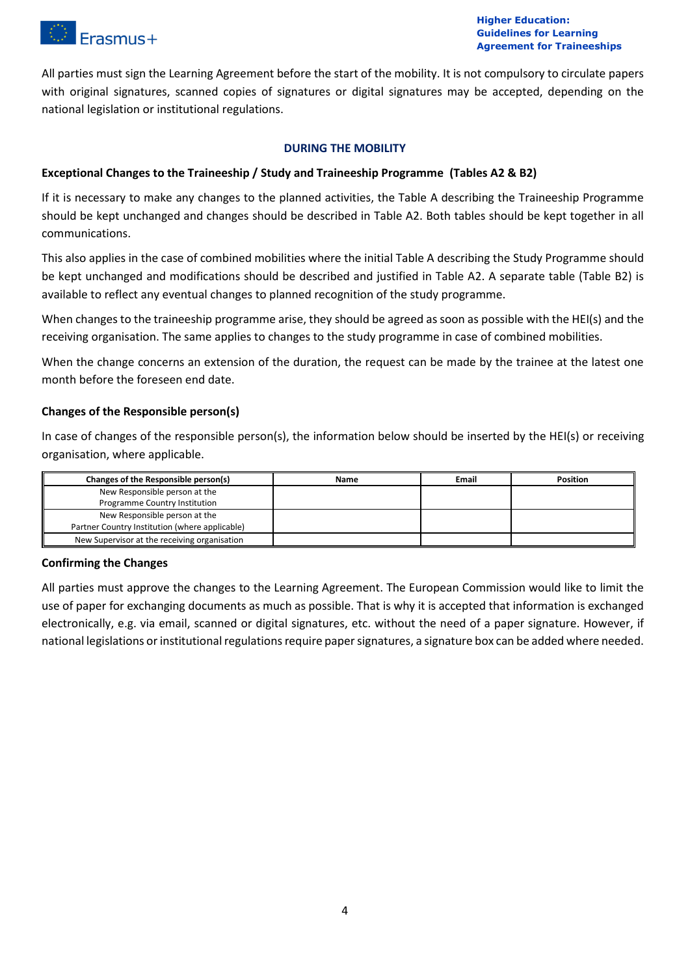

All parties must sign the Learning Agreement before the start of the mobility. It is not compulsory to circulate papers with original signatures, scanned copies of signatures or digital signatures may be accepted, depending on the national legislation or institutional regulations.

### **DURING THE MOBILITY**

# **Exceptional Changes to the Traineeship / Study and Traineeship Programme (Tables A2 & B2)**

If it is necessary to make any changes to the planned activities, the Table A describing the Traineeship Programme should be kept unchanged and changes should be described in Table A2. Both tables should be kept together in all communications.

This also applies in the case of combined mobilities where the initial Table A describing the Study Programme should be kept unchanged and modifications should be described and justified in Table A2. A separate table (Table B2) is available to reflect any eventual changes to planned recognition of the study programme.

When changes to the traineeship programme arise, they should be agreed as soon as possible with the HEI(s) and the receiving organisation. The same applies to changes to the study programme in case of combined mobilities.

When the change concerns an extension of the duration, the request can be made by the trainee at the latest one month before the foreseen end date.

# **Changes of the Responsible person(s)**

In case of changes of the responsible person(s), the information below should be inserted by the HEI(s) or receiving organisation, where applicable.

| Changes of the Responsible person(s)           | Name | <b>Email</b> | <b>Position</b> |
|------------------------------------------------|------|--------------|-----------------|
| New Responsible person at the                  |      |              |                 |
| Programme Country Institution                  |      |              |                 |
| New Responsible person at the                  |      |              |                 |
| Partner Country Institution (where applicable) |      |              |                 |
| New Supervisor at the receiving organisation   |      |              |                 |

### **Confirming the Changes**

All parties must approve the changes to the Learning Agreement. The European Commission would like to limit the use of paper for exchanging documents as much as possible. That is why it is accepted that information is exchanged electronically, e.g. via email, scanned or digital signatures, etc. without the need of a paper signature. However, if national legislations or institutional regulations require paper signatures, a signature box can be added where needed.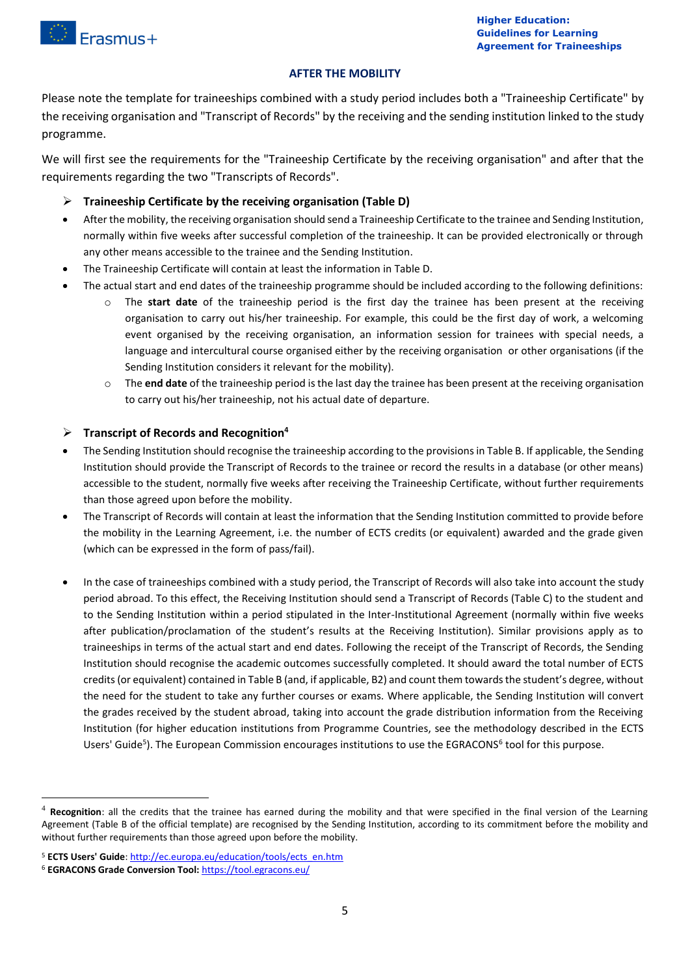

#### **AFTER THE MOBILITY**

Please note the template for traineeships combined with a study period includes both a "Traineeship Certificate" by the receiving organisation and "Transcript of Records" by the receiving and the sending institution linked to the study programme.

We will first see the requirements for the "Traineeship Certificate by the receiving organisation" and after that the requirements regarding the two "Transcripts of Records".

- **Traineeship Certificate by the receiving organisation (Table D)**
- After the mobility, the receiving organisation should send a Traineeship Certificate to the trainee and Sending Institution, normally within five weeks after successful completion of the traineeship. It can be provided electronically or through any other means accessible to the trainee and the Sending Institution.
- The Traineeship Certificate will contain at least the information in Table D.
- The actual start and end dates of the traineeship programme should be included according to the following definitions:
	- o The **start date** of the traineeship period is the first day the trainee has been present at the receiving organisation to carry out his/her traineeship. For example, this could be the first day of work, a welcoming event organised by the receiving organisation, an information session for trainees with special needs, a language and intercultural course organised either by the receiving organisation or other organisations (if the Sending Institution considers it relevant for the mobility).
	- o The **end date** of the traineeship period is the last day the trainee has been present at the receiving organisation to carry out his/her traineeship, not his actual date of departure.

# **Transcript of Records and Recognition<sup>4</sup>**

- The Sending Institution should recognise the traineeship according to the provisions in Table B. If applicable, the Sending Institution should provide the Transcript of Records to the trainee or record the results in a database (or other means) accessible to the student, normally five weeks after receiving the Traineeship Certificate, without further requirements than those agreed upon before the mobility.
- The Transcript of Records will contain at least the information that the Sending Institution committed to provide before the mobility in the Learning Agreement, i.e. the number of ECTS credits (or equivalent) awarded and the grade given (which can be expressed in the form of pass/fail).
- In the case of traineeships combined with a study period, the Transcript of Records will also take into account the study period abroad. To this effect, the Receiving Institution should send a Transcript of Records (Table C) to the student and to the Sending Institution within a period stipulated in the Inter-Institutional Agreement (normally within five weeks after publication/proclamation of the student's results at the Receiving Institution). Similar provisions apply as to traineeships in terms of the actual start and end dates. Following the receipt of the Transcript of Records, the Sending Institution should recognise the academic outcomes successfully completed. It should award the total number of ECTS credits (or equivalent) contained in Table B (and, if applicable, B2) and count them towards the student's degree, without the need for the student to take any further courses or exams. Where applicable, the Sending Institution will convert the grades received by the student abroad, taking into account the grade distribution information from the Receiving Institution (for higher education institutions from Programme Countries, see the methodology described in the ECTS Users' Guide<sup>5</sup>). The European Commission encourages institutions to use the EGRACONS<sup>6</sup> tool for this purpose.

1

<sup>4</sup> **Recognition**: all the credits that the trainee has earned during the mobility and that were specified in the final version of the Learning Agreement (Table B of the official template) are recognised by the Sending Institution, according to its commitment before the mobility and without further requirements than those agreed upon before the mobility.

<sup>5</sup> **ECTS Users' Guide**[: http://ec.europa.eu/education/tools/ects\\_en.htm](http://ec.europa.eu/education/tools/ects_en.htm)

<sup>6</sup> **EGRACONS Grade Conversion Tool:** <https://tool.egracons.eu/>